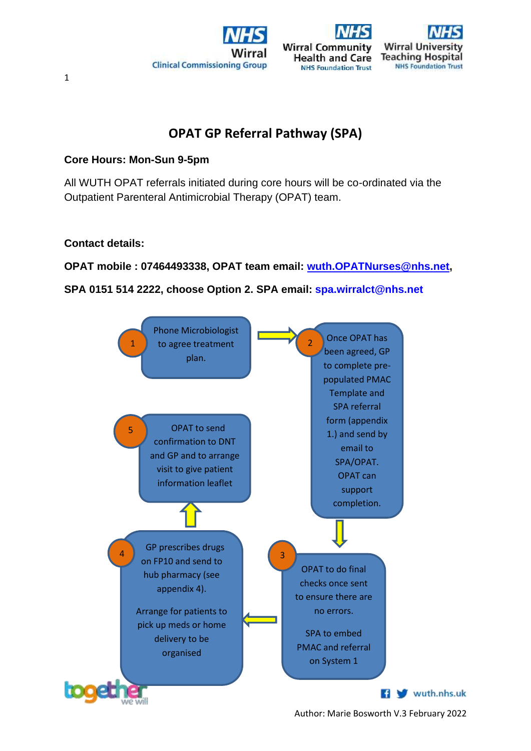





# **OPAT GP Referral Pathway (SPA)**

# **Core Hours: Mon-Sun 9-5pm**

All WUTH OPAT referrals initiated during core hours will be co-ordinated via the Outpatient Parenteral Antimicrobial Therapy (OPAT) team.

# **Contact details:**

**OPAT mobile : 07464493338, OPAT team email: [wuth.OPATNurses@nhs.net,](mailto:wuth.OPATNurses@nhs.net)** 

# **SPA 0151 514 2222, choose Option 2. SPA email: [spa.wirralct@nhs.net](mailto:spa.wirralct@nhs.net)**



Author: Marie Bosworth V.3 February 2022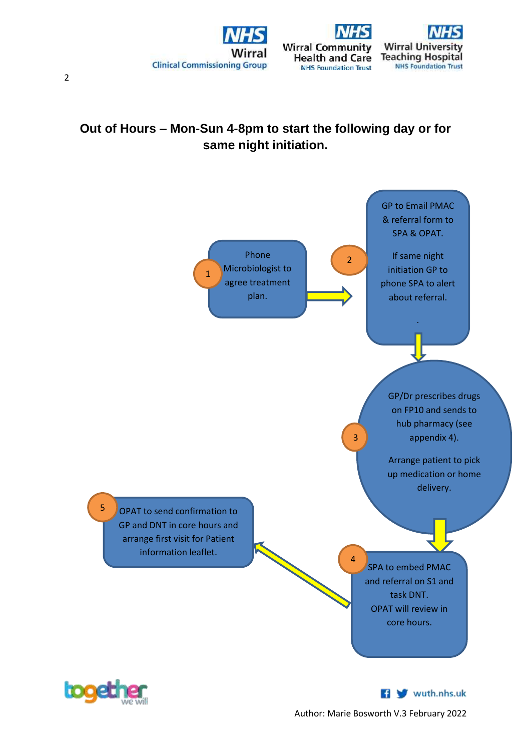



# **Out of Hours – Mon-Sun 4-8pm to start the following day or for same night initiation.**





**M** wuth.nhs.uk

Author: Marie Bosworth V.3 February 2022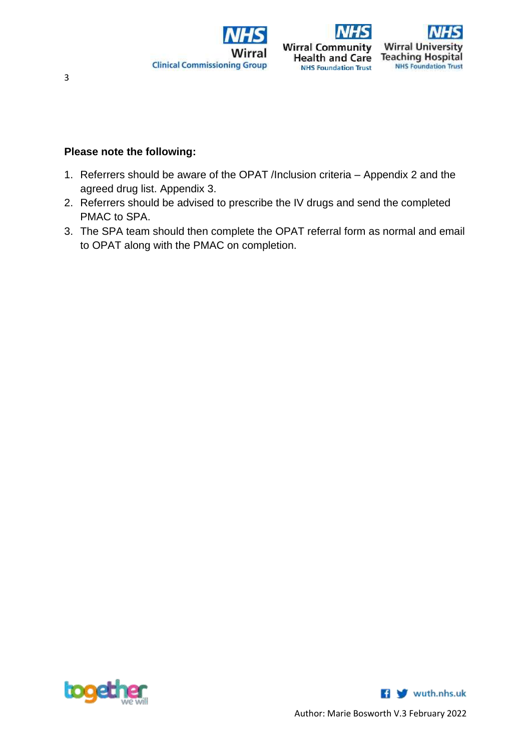





# **Please note the following:**

- 1. Referrers should be aware of the OPAT /Inclusion criteria Appendix 2 and the agreed drug list. Appendix 3.
- 2. Referrers should be advised to prescribe the IV drugs and send the completed PMAC to SPA.
- 3. The SPA team should then complete the OPAT referral form as normal and email to OPAT along with the PMAC on completion.



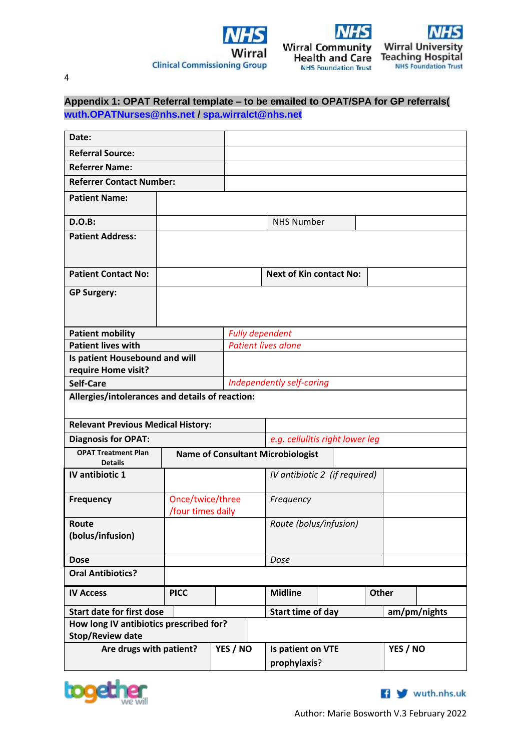



**Health and Care** 

**NHS Foundation Trust** 



4

# **Appendix 1: OPAT Referral template – to be emailed to OPAT/SPA for GP referrals( [wuth.OPATNurses@nhs.net](mailto:wuth.OPATNurses@nhs.net) / [spa.wirralct@nhs.net](mailto:spa.wirralct@nhs.net)**

| Date:                                                 |                                       |  |                        |                                          |                                 |              |          |              |
|-------------------------------------------------------|---------------------------------------|--|------------------------|------------------------------------------|---------------------------------|--------------|----------|--------------|
| <b>Referral Source:</b>                               |                                       |  |                        |                                          |                                 |              |          |              |
| <b>Referrer Name:</b>                                 |                                       |  |                        |                                          |                                 |              |          |              |
| <b>Referrer Contact Number:</b>                       |                                       |  |                        |                                          |                                 |              |          |              |
| <b>Patient Name:</b>                                  |                                       |  |                        |                                          |                                 |              |          |              |
| D.O.B:                                                |                                       |  |                        | <b>NHS Number</b>                        |                                 |              |          |              |
| <b>Patient Address:</b>                               |                                       |  |                        |                                          |                                 |              |          |              |
| <b>Patient Contact No:</b>                            |                                       |  |                        | <b>Next of Kin contact No:</b>           |                                 |              |          |              |
| <b>GP Surgery:</b>                                    |                                       |  |                        |                                          |                                 |              |          |              |
| <b>Patient mobility</b>                               |                                       |  | <b>Fully dependent</b> |                                          |                                 |              |          |              |
| <b>Patient lives with</b>                             |                                       |  |                        | <b>Patient lives alone</b>               |                                 |              |          |              |
| Is patient Housebound and will<br>require Home visit? |                                       |  |                        |                                          |                                 |              |          |              |
| <b>Self-Care</b>                                      |                                       |  |                        | Independently self-caring                |                                 |              |          |              |
| Allergies/intolerances and details of reaction:       |                                       |  |                        |                                          |                                 |              |          |              |
| <b>Relevant Previous Medical History:</b>             |                                       |  |                        |                                          |                                 |              |          |              |
| <b>Diagnosis for OPAT:</b>                            |                                       |  |                        |                                          | e.g. cellulitis right lower leg |              |          |              |
| <b>OPAT Treatment Plan</b><br><b>Details</b>          |                                       |  |                        | <b>Name of Consultant Microbiologist</b> |                                 |              |          |              |
| IV antibiotic 1                                       |                                       |  |                        |                                          | IV antibiotic 2 (if required)   |              |          |              |
| <b>Frequency</b>                                      | Once/twice/three<br>/four times daily |  |                        | Frequency                                |                                 |              |          |              |
| Route<br>(bolus/infusion)                             |                                       |  |                        | Route (bolus/infusion)                   |                                 |              |          |              |
| <b>Dose</b>                                           |                                       |  |                        | Dose                                     |                                 |              |          |              |
| <b>Oral Antibiotics?</b>                              |                                       |  |                        |                                          |                                 |              |          |              |
| <b>IV Access</b>                                      | <b>PICC</b>                           |  |                        | <b>Midline</b>                           |                                 | <b>Other</b> |          |              |
| <b>Start date for first dose</b>                      |                                       |  |                        | Start time of day                        |                                 |              |          | am/pm/nights |
| How long IV antibiotics prescribed for?               |                                       |  |                        |                                          |                                 |              |          |              |
| <b>Stop/Review date</b>                               |                                       |  |                        |                                          |                                 |              |          |              |
| Are drugs with patient?                               |                                       |  | YES / NO               | Is patient on VTE<br>prophylaxis?        |                                 |              | YES / NO |              |



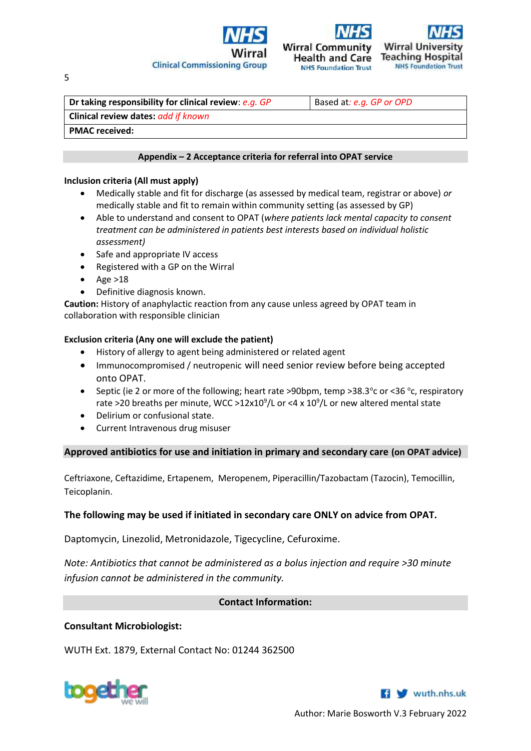



**NHS Foundation Trust** 



**Dr taking responsibility for clinical review:** *e.g. GP* **Based at:** *e.g. GP or OPD* **Clinical review dates:** *add if known* **PMAC received:** 

# **Appendix – 2 Acceptance criteria for referral into OPAT service**

# **Inclusion criteria (All must apply)**

- Medically stable and fit for discharge (as assessed by medical team, registrar or above) *or*  medically stable and fit to remain within community setting (as assessed by GP)
- Able to understand and consent to OPAT (*where patients lack mental capacity to consent treatment can be administered in patients best interests based on individual holistic assessment)*
- Safe and appropriate IV access
- Registered with a GP on the Wirral
- $\bullet$  Age >18
- Definitive diagnosis known.

**Caution:** History of anaphylactic reaction from any cause unless agreed by OPAT team in collaboration with responsible clinician

# **Exclusion criteria (Any one will exclude the patient)**

- History of allergy to agent being administered or related agent
- Immunocompromised / neutropenic will need senior review before being accepted onto OPAT.
- Septic (ie 2 or more of the following; heart rate >90bpm, temp >38.3° c or <36 ° c, respiratory rate >20 breaths per minute, WCC >12x10<sup>9</sup>/L or <4 x 10<sup>9</sup>/L or new altered mental state
- Delirium or confusional state.
- Current Intravenous drug misuser

**Approved antibiotics for use and initiation in primary and secondary care (on OPAT advice)**

Ceftriaxone, Ceftazidime, Ertapenem, Meropenem, Piperacillin/Tazobactam (Tazocin), Temocillin, Teicoplanin.

# **The following may be used if initiated in secondary care ONLY on advice from OPAT.**

Daptomycin, Linezolid, Metronidazole, Tigecycline, Cefuroxime.

*Note: Antibiotics that cannot be administered as a bolus injection and require >30 minute infusion cannot be administered in the community.*

# **Contact Information:**

# **Consultant Microbiologist:**

WUTH Ext. 1879, External Contact No: 01244 362500





Author: Marie Bosworth V.3 February 2022

5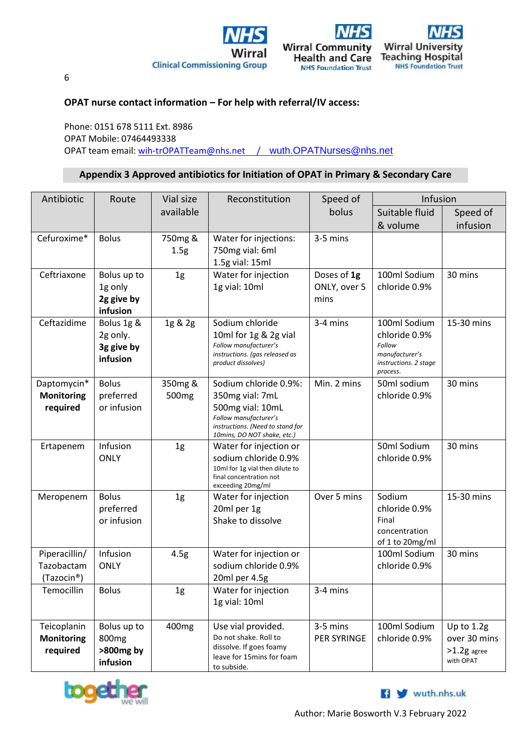





6

# **OPAT nurse contact information – For help with referral/IV access:**

Phone: 0151 678 5111 Ext. 8986 OPAT Mobile: 07464493338 OPAT team email: [wih-trOPATTeam@nhs.net](mailto:wih-trOPATTeam@nhs.net) / [wuth.OPATNurses@nhs.net](mailto:wuth.OPATNurses@nhs.net)

# **Appendix 3 Approved antibiotics for Initiation of OPAT in Primary & Secondary Care**

| Antibiotic<br>Route                          |                                                           | Vial size                    | Reconstitution                                                                                                                                           | Speed of                            | Infusion                                                                                       |                                                            |  |
|----------------------------------------------|-----------------------------------------------------------|------------------------------|----------------------------------------------------------------------------------------------------------------------------------------------------------|-------------------------------------|------------------------------------------------------------------------------------------------|------------------------------------------------------------|--|
|                                              |                                                           | available                    |                                                                                                                                                          | bolus                               | Suitable fluid                                                                                 | Speed of                                                   |  |
|                                              |                                                           |                              |                                                                                                                                                          |                                     | & volume                                                                                       | infusion                                                   |  |
| Cefuroxime*                                  | <b>Bolus</b>                                              | 750mg &<br>1.5 <sub>g</sub>  | Water for injections:<br>750mg vial: 6ml<br>1.5g vial: 15ml                                                                                              | 3-5 mins                            |                                                                                                |                                                            |  |
| Ceftriaxone                                  | Bolus up to<br>1g only<br>2g give by<br>infusion          | 1 <sub>g</sub>               | Water for injection<br>1g vial: 10ml                                                                                                                     | Doses of 1g<br>ONLY, over 5<br>mins | 100ml Sodium<br>chloride 0.9%                                                                  | 30 mins                                                    |  |
| Ceftazidime                                  | Bolus 1g &<br>2g only.<br>3g give by<br>infusion          | 1g & 2g                      | Sodium chloride<br>10ml for 1g & 2g vial<br>Follow manufacturer's<br>instructions. (gas released as<br>product dissolves)                                | 3-4 mins                            | 100ml Sodium<br>chloride 0.9%<br>Follow<br>manufacturer's<br>instructions. 2 stage<br>process. | 15-30 mins                                                 |  |
| Daptomycin*<br><b>Monitoring</b><br>required | <b>Bolus</b><br>preferred<br>or infusion                  | 350mg &<br>500 <sub>mg</sub> | Sodium chloride 0.9%:<br>350mg vial: 7mL<br>500mg vial: 10mL<br>Follow manufacturer's<br>instructions. (Need to stand for<br>10mins, DO NOT shake, etc.) | Min. 2 mins                         | 50ml sodium<br>chloride 0.9%                                                                   | 30 mins                                                    |  |
| Ertapenem                                    | Infusion<br><b>ONLY</b>                                   | 1 <sub>g</sub>               | Water for injection or<br>sodium chloride 0.9%<br>10ml for 1g vial then dilute to<br>final concentration not<br>exceeding 20mg/ml                        |                                     | 50ml Sodium<br>chloride 0.9%                                                                   | 30 mins                                                    |  |
| Meropenem                                    | <b>Bolus</b><br>preferred<br>or infusion                  | 1 <sub>g</sub>               | Water for injection<br>20ml per 1g<br>Shake to dissolve                                                                                                  | Over 5 mins                         | Sodium<br>chloride 0.9%<br>Final<br>concentration<br>of 1 to 20mg/ml                           | 15-30 mins                                                 |  |
| Piperacillin/<br>Tazobactam<br>(Tazocin®)    | Infusion<br><b>ONLY</b>                                   | 4.5g                         | Water for injection or<br>sodium chloride 0.9%<br>20ml per 4.5g                                                                                          |                                     | 100ml Sodium<br>chloride 0.9%                                                                  | 30 mins                                                    |  |
| Temocillin                                   | <b>Bolus</b>                                              | 1g                           | Water for injection<br>1g vial: 10ml                                                                                                                     | 3-4 mins                            |                                                                                                |                                                            |  |
| Teicoplanin<br><b>Monitoring</b><br>required | Bolus up to<br>800 <sub>mg</sub><br>>800mg by<br>infusion | 400 <sub>mg</sub>            | Use vial provided.<br>Do not shake. Roll to<br>dissolve. If goes foamy<br>leave for 15mins for foam<br>to subside.                                       | 3-5 mins<br><b>PER SYRINGE</b>      | 100ml Sodium<br>chloride 0.9%                                                                  | Up to $1.2g$<br>over 30 mins<br>$>1.2g$ agree<br>with OPAT |  |